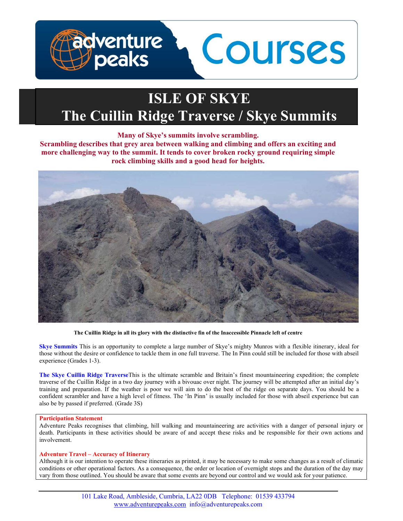

# ISLE OF SKYE The Cuillin Ridge Traverse / Skye Summits

# Many of Skye's summits involve scrambling.

Scrambling describes that grey area between walking and climbing and offers an exciting and more challenging way to the summit. It tends to cover broken rocky ground requiring simple rock climbing skills and a good head for heights.



The Cuillin Ridge in all its glory with the distinctive fin of the Inaccessible Pinnacle left of centre

Skye Summits This is an opportunity to complete a large number of Skye's mighty Munros with a flexible itinerary, ideal for those without the desire or confidence to tackle them in one full traverse. The In Pinn could still be included for those with abseil experience (Grades 1-3).

The Skye Cuillin Ridge TraverseThis is the ultimate scramble and Britain's finest mountaineering expedition; the complete traverse of the Cuillin Ridge in a two day journey with a bivouac over night. The journey will be attempted after an initial day's training and preparation. If the weather is poor we will aim to do the best of the ridge on separate days. You should be a confident scrambler and have a high level of fitness. The 'In Pinn' is usually included for those with abseil experience but can also be by passed if preferred. (Grade 3S)

# Participation Statement

Adventure Peaks recognises that climbing, hill walking and mountaineering are activities with a danger of personal injury or death. Participants in these activities should be aware of and accept these risks and be responsible for their own actions and involvement.

# Adventure Travel – Accuracy of Itinerary

Although it is our intention to operate these itineraries as printed, it may be necessary to make some changes as a result of climatic conditions or other operational factors. As a consequence, the order or location of overnight stops and the duration of the day may vary from those outlined. You should be aware that some events are beyond our control and we would ask for your patience.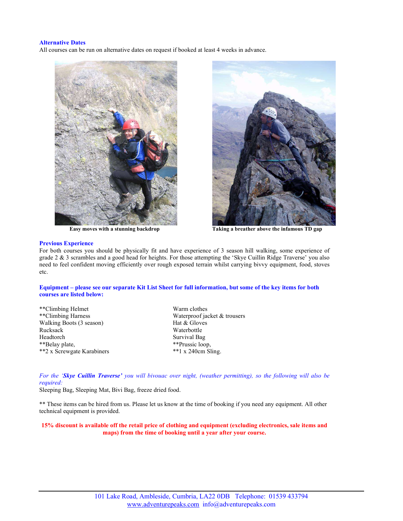## Alternative Dates

All courses can be run on alternative dates on request if booked at least 4 weeks in advance.



Easy moves with a stunning backdrop Taking a breather above the infamous TD gap

## Previous Experience

For both courses you should be physically fit and have experience of 3 season hill walking, some experience of grade 2 & 3 scrambles and a good head for heights. For those attempting the 'Skye Cuillin Ridge Traverse' you also need to feel confident moving efficiently over rough exposed terrain whilst carrying bivvy equipment, food, stoves etc.

# Equipment – please see our separate Kit List Sheet for full information, but some of the key items for both courses are listed below:

\*\*Climbing Helmet Warm clothes<br>\*\*Climbing Harness Waterproof ja Walking Boots (3 season) Hat & Gloves Rucksack Waterbottle Headtorch Survival Bag<br>\*\*Belay plate, \*\*Prussic loop, \*\*Belay plate,<br>\*\*2 x Screwgate Karabiners<br>\*\*1 x 240cm Sling. \*\*2 x Screwgate Karabiners

Waterproof jacket & trousers

For the 'Skye Cuillin Traverse' you will bivouac over night, (weather permitting), so the following will also be required:

Sleeping Bag, Sleeping Mat, Bivi Bag, freeze dried food.

\*\* These items can be hired from us. Please let us know at the time of booking if you need any equipment. All other technical equipment is provided.

15% discount is available off the retail price of clothing and equipment (excluding electronics, sale items and maps) from the time of booking until a year after your course.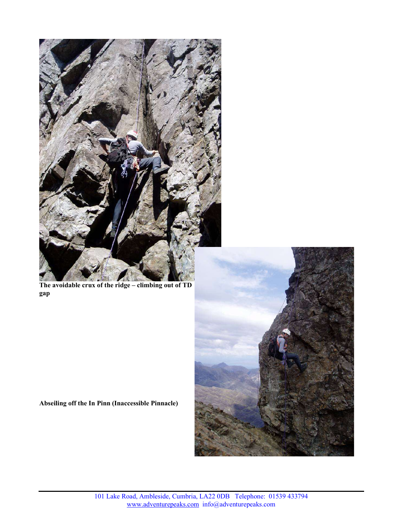

The avoidable crux of the ridge – climbing out of TD gap



# Abseiling off the In Pinn (Inaccessible Pinnacle)